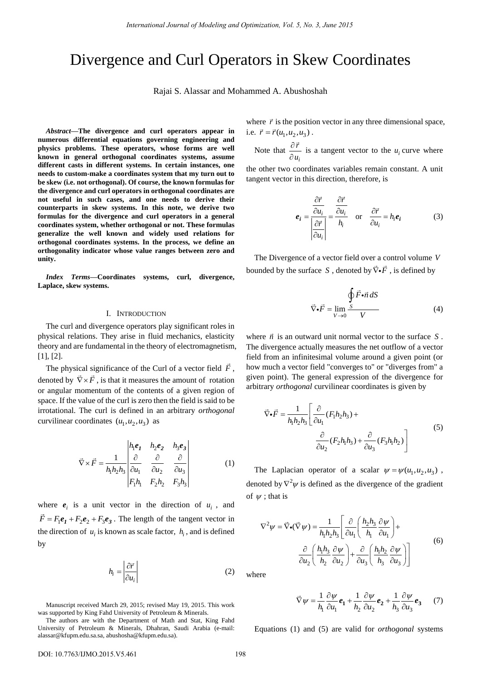# Divergence and Curl Operators in Skew Coordinates

Rajai S. Alassar and Mohammed A. Abushoshah

*Abstract***—The divergence and curl operators appear in numerous differential equations governing engineering and physics problems. These operators, whose forms are well known in general orthogonal coordinates systems, assume different casts in different systems. In certain instances, one needs to custom-make a coordinates system that my turn out to be skew (i.e. not orthogonal). Of course, the known formulas for the divergence and curl operators in orthogonal coordinates are not useful in such cases, and one needs to derive their counterparts in skew systems. In this note, we derive two formulas for the divergence and curl operators in a general coordinates system, whether orthogonal or not. These formulas generalize the well known and widely used relations for orthogonal coordinates systems. In the process, we define an orthogonality indicator whose value ranges between zero and unity.** 

*Index Terms***—Coordinates systems, curl, divergence, Laplace, skew systems.** 

## I. INTRODUCTION

The curl and divergence operators play significant roles in physical relations. They arise in fluid mechanics, elasticity theory and are fundamental in the theory of electromagnetism, [1], [2].

The physical significance of the Curl of a vector field  $\vec{F}$ , denoted by  $\vec{\nabla} \times \vec{F}$ , is that it measures the amount of rotation or angular momentum of the contents of a given region of space. If the value of the curl is zero then the field is said to be irrotational. The curl is defined in an arbitrary *orthogonal* curvilinear coordinates  $(u_1, u_2, u_3)$  as

$$
\vec{\nabla} \times \vec{F} = \frac{1}{h_1 h_2 h_3} \begin{vmatrix} h_1 e_1 & h_2 e_2 & h_3 e_3 \\ \frac{\partial}{\partial u_1} & \frac{\partial}{\partial u_2} & \frac{\partial}{\partial u_3} \\ F_1 h_1 & F_2 h_2 & F_3 h_3 \end{vmatrix}
$$
(1)

where  $e_i$  is a unit vector in the direction of  $u_i$ , and  $\vec{F} = F_1 e_1 + F_2 e_2 + F_3 e_3$ . The length of the tangent vector in the direction of  $u_i$  is known as scale factor,  $h_i$ , and is defined by

$$
h_i = \left| \frac{\partial \vec{r}}{\partial u_i} \right| \tag{2}
$$

Manuscript received March 29, 2015; revised May 19, 2015. This work was supported by King Fahd University of Petroleum & Minerals.

where  $\vec{r}$  is the position vector in any three dimensional space, i.e.  $\vec{r} = \vec{r}(u_1, u_2, u_3)$ .

Note that *i r u*  $\partial$  $\frac{\partial u_i}{\partial u_i}$  is a tangent vector to the *u<sub>i</sub>* curve where

the other two coordinates variables remain constant. A unit tangent vector in this direction, therefore, is

$$
\mathbf{e}_{i} = \frac{\frac{\partial \vec{r}}{\partial u_{i}}}{\left|\frac{\partial \vec{r}}{\partial u_{i}}\right|} = \frac{\frac{\partial \vec{r}}{\partial u_{i}}}{h_{i}} \quad \text{or} \quad \frac{\partial \vec{r}}{\partial u_{i}} = h_{i} \mathbf{e}_{i}
$$
(3)

The Divergence of a vector field over a control volume *V* bounded by the surface *S*, denoted by  $\vec{\nabla} \cdot \vec{F}$ , is defined by

$$
\vec{\nabla} \cdot \vec{F} = \lim_{V \to 0} \frac{\oint \vec{F} \cdot \vec{n} \, dS}{V} \tag{4}
$$

where  $\vec{n}$  is an outward unit normal vector to the surface  $S$ . The divergence actually measures the net outflow of a vector field from an infinitesimal volume around a given point (or how much a vector field "converges to" or "diverges from" a given point). The general expression of the divergence for arbitrary *orthogonal* curvilinear coordinates is given by

$$
\vec{\nabla} \cdot \vec{F} = \frac{1}{h_1 h_2 h_3} \left[ \frac{\partial}{\partial u_1} (F_1 h_2 h_3) + \frac{\partial}{\partial u_2} (F_2 h_1 h_3) + \frac{\partial}{\partial u_3} (F_3 h_1 h_2) \right]
$$
(5)

The Laplacian operator of a scalar  $\psi = \psi(u_1, u_2, u_3)$ , denoted by  $\nabla^2 \psi$  is defined as the divergence of the gradient of  $\psi$  ; that is

$$
\nabla^2 \psi = \vec{\nabla} \cdot (\vec{\nabla} \psi) = \frac{1}{h_1 h_2 h_3} \left[ \frac{\partial}{\partial u_1} \left( \frac{h_2 h_3}{h_1} \frac{\partial \psi}{\partial u_1} \right) + \frac{\partial}{\partial u_2} \left( \frac{h_1 h_3}{h_2} \frac{\partial \psi}{\partial u_2} \right) + \frac{\partial}{\partial u_3} \left( \frac{h_1 h_2}{h_3} \frac{\partial \psi}{\partial u_3} \right) \right]
$$
(6)

where

$$
\vec{\nabla}\psi = \frac{1}{h_1} \frac{\partial \psi}{\partial u_1} \mathbf{e}_1 + \frac{1}{h_2} \frac{\partial \psi}{\partial u_2} \mathbf{e}_2 + \frac{1}{h_3} \frac{\partial \psi}{\partial u_3} \mathbf{e}_3 \tag{7}
$$

Equations (1) and (5) are valid for *orthogonal* systems

The authors are with the Department of Math and Stat, King Fahd University of Petroleum & Minerals, Dhahran, Saudi Arabia (e-mail: alassar@kfupm.edu.sa.sa, abushosha@kfupm.edu.sa).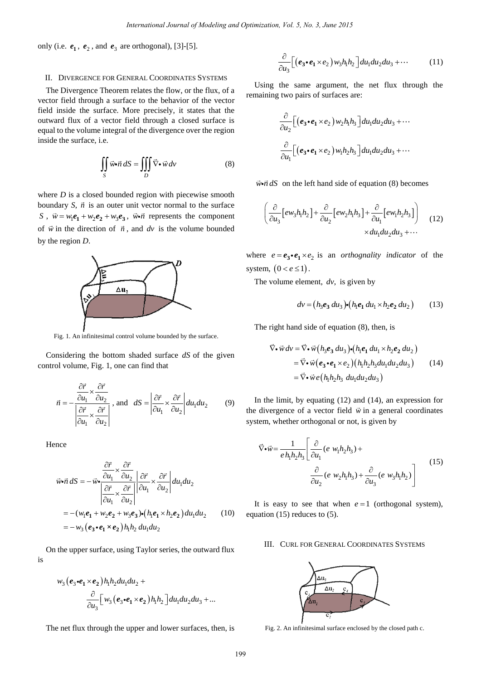only (i.e.  $e_1$ ,  $e_2$ , and  $e_3$  are orthogonal), [3]-[5].

## II. DIVERGENCE FOR GENERAL COORDINATES SYSTEMS

The Divergence Theorem relates the flow, or the flux, of a vector field through a surface to the behavior of the vector field inside the surface. More precisely, it states that the outward flux of a vector field through a closed surface is equal to the volume integral of the divergence over the region inside the surface, i.e.

$$
\iint_{S} \vec{w} \cdot \vec{n} \, dS = \iiint_{D} \vec{\nabla} \cdot \vec{w} \, d\nu \tag{8}
$$

where *D* is a closed bounded region with piecewise smooth boundary *S*,  $\vec{n}$  is an outer unit vector normal to the surface *S*,  $\vec{w} = w_1 e_1 + w_2 e_2 + w_3 e_3$ ,  $\vec{w} \cdot \vec{n}$  represents the component of  $\vec{w}$  in the direction of  $\vec{n}$ , and  $dv$  is the volume bounded by the region *D*.



Fig. 1. An infinitesimal control volume bounded by the surface.

Considering the bottom shaded surface *dS* of the given control volume, Fig. 1, one can find that

$$
\vec{n} = -\frac{\frac{\partial \vec{r}}{\partial u_1} \times \frac{\partial \vec{r}}{\partial u_2}}{\left| \frac{\partial \vec{r}}{\partial u_1} \times \frac{\partial \vec{r}}{\partial u_2} \right|}, \text{ and } dS = \left| \frac{\partial \vec{r}}{\partial u_1} \times \frac{\partial \vec{r}}{\partial u_2} \right| du_1 du_2 \tag{9}
$$

Hence

$$
\vec{w} \cdot \vec{n} \, dS = -\vec{w} \cdot \frac{\frac{\partial \vec{r}}{\partial u_1} \times \frac{\partial \vec{r}}{\partial u_2}}{\left| \frac{\partial \vec{r}}{\partial u_1} \times \frac{\partial \vec{r}}{\partial u_2} \right|} \left| \frac{\partial \vec{r}}{\partial u_1} \times \frac{\partial \vec{r}}{\partial u_2} \right| du_1 du_2
$$
  
= - (w<sub>1</sub>e<sub>1</sub> + w<sub>2</sub>e<sub>2</sub> + w<sub>3</sub>e<sub>3</sub>)•(h<sub>1</sub>e<sub>1</sub> × h<sub>2</sub>e<sub>2</sub>) du<sub>1</sub>du<sub>2</sub> (10)  
= -w<sub>3</sub> (e<sub>3</sub>•e<sub>1</sub> × e<sub>2</sub>)h<sub>1</sub>h<sub>2</sub> du<sub>1</sub>du<sub>2</sub>

On the upper surface, using Taylor series, the outward flux is

$$
w_3(e_3 \cdot e_1 \times e_2) h_1 h_2 du_1 du_2 +
$$
  

$$
\frac{\partial}{\partial u_3} \Big[ w_3(e_3 \cdot e_1 \times e_2) h_1 h_2 \Big] du_1 du_2 du_3 + ...
$$

The net flux through the upper and lower surfaces, then, is

$$
\frac{\partial}{\partial u_3} \Big[ \big( \mathbf{e}_3 \cdot \mathbf{e}_1 \times \mathbf{e}_2 \big) w_3 h_1 h_2 \Big] du_1 du_2 du_3 + \cdots \tag{11}
$$

Using the same argument, the net flux through the remaining two pairs of surfaces are:

$$
\frac{\partial}{\partial u_2} \Big[ \left( \mathbf{e}_3 \bullet \mathbf{e}_1 \times \mathbf{e}_2 \right) w_2 h_1 h_3 \Big] du_1 du_2 du_3 + \cdots
$$
  

$$
\frac{\partial}{\partial u_1} \Big[ \left( \mathbf{e}_3 \bullet \mathbf{e}_1 \times \mathbf{e}_2 \right) w_1 h_2 h_3 \Big] du_1 du_2 du_3 + \cdots
$$

 $\vec{w} \cdot \vec{n} dS$  on the left hand side of equation (8) becomes

$$
\left(\frac{\partial}{\partial u_3} \left[ew_3h_1h_2\right] + \frac{\partial}{\partial u_2} \left[ew_2h_1h_3\right] + \frac{\partial}{\partial u_1} \left[ew_1h_2h_3\right] \right) \tag{12}
$$
\n
$$
\times du_1 du_2 du_3 + \cdots
$$

where  $e = e_3 \cdot e_1 \times e_2$  is an *orthognality indicator* of the system,  $(0 < e \le 1)$ .

The volume element, *dv*, is given by

$$
dv = (h_3e_3 du_3) \cdot (h_1e_1 du_1 \times h_2e_2 du_2) \tag{13}
$$

The right hand side of equation (8), then, is

$$
\nabla \cdot \vec{w} dv = \nabla \cdot \vec{w} (h_3 e_3 du_3) \cdot (h_1 e_1 du_1 \times h_2 e_2 du_2)
$$
  
= 
$$
\nabla \cdot \vec{w} (e_3 \cdot e_1 \times e_2) (h_1 h_2 h_3 du_1 du_2 du_3)
$$
 (14)  
= 
$$
\nabla \cdot \vec{w} e (h_1 h_2 h_3 du_1 du_2 du_3)
$$

In the limit, by equating (12) and (14), an expression for the divergence of a vector field  $\vec{w}$  in a general coordinates system, whether orthogonal or not, is given by

$$
\vec{\nabla} \cdot \vec{w} = \frac{1}{e h_1 h_2 h_3} \left[ \frac{\partial}{\partial u_1} (e w_1 h_2 h_3) + \frac{\partial}{\partial u_2} (e w_2 h_1 h_3) + \frac{\partial}{\partial u_3} (e w_3 h_1 h_2) \right]
$$
(15)

It is easy to see that when  $e = 1$  (orthogonal system), equation (15) reduces to (5).

## III. CURL FOR GENERAL COORDINATES SYSTEMS



Fig. 2. An infinitesimal surface enclosed by the closed path c.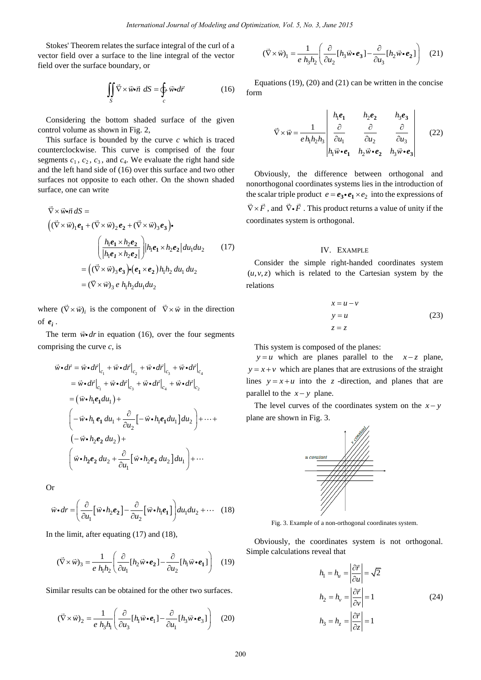Stokes' Theorem relates the surface integral of the curl of a vector field over a surface to the line integral of the vector field over the surface boundary, or

$$
\iint\limits_{S} \vec{\nabla} \times \vec{w} \cdot \vec{n} \, dS = \oint\limits_{c} \vec{w} \cdot d\vec{r} \tag{16}
$$

Considering the bottom shaded surface of the given control volume as shown in Fig. 2,

This surface is bounded by the curve *c* which is traced counterclockwise. This curve is comprised of the four segments  $c_1$ ,  $c_2$ ,  $c_3$ , and  $c_4$ . We evaluate the right hand side and the left hand side of (16) over this surface and two other surfaces not opposite to each other. On the shown shaded surface, one can write

$$
\nabla \times \vec{w} \cdot \vec{n} \, dS =
$$
\n
$$
\left( (\vec{\nabla} \times \vec{w})_1 e_1 + (\vec{\nabla} \times \vec{w})_2 e_2 + (\vec{\nabla} \times \vec{w})_3 e_3 \right) \cdot
$$
\n
$$
\left( \frac{h_1 e_1 \times h_2 e_2}{|h_1 e_1 \times h_2 e_2|} \right) |h_1 e_1 \times h_2 e_2| du_1 du_2 \qquad (17)
$$
\n
$$
= \left( (\vec{\nabla} \times \vec{w})_3 e_3 \right) \cdot \left( e_1 \times e_2 \right) h_1 h_2 du_1 du_2
$$
\n
$$
= (\vec{\nabla} \times \vec{w})_3 e_1 h_1 h_2 du_1 du_2
$$

where  $(\nabla \times \vec{w})_i$  is the component of  $\nabla \times \vec{w}$  in the direction of  $e_i$ .

The term  $\vec{w} \cdot dr$  in equation (16), over the four segments comprising the curve *c*, is

$$
\vec{w} \cdot d\vec{r} = \vec{w} \cdot d\vec{r}\Big|_{c_1} + \vec{w} \cdot d\vec{r}\Big|_{c_2} + \vec{w} \cdot d\vec{r}\Big|_{c_3} + \vec{w} \cdot d\vec{r}\Big|_{c_4}
$$
\n
$$
= \vec{w} \cdot d\vec{r}\Big|_{c_1} + \vec{w} \cdot d\vec{r}\Big|_{c_3} + \vec{w} \cdot d\vec{r}\Big|_{c_4} + \vec{w} \cdot d\vec{r}\Big|_{c_2}
$$
\n
$$
= (\vec{w} \cdot h_1 e_1 du_1) +
$$
\n
$$
\left(-\vec{w} \cdot h_1 e_1 du_1 + \frac{\partial}{\partial u_2} \left[-\vec{w} \cdot h_1 e_1 du_1\right] du_2\right) + \dots +
$$
\n
$$
\left(-\vec{w} \cdot h_2 e_2 du_2\right) +
$$
\n
$$
\left(\vec{w} \cdot h_2 e_2 du_2 + \frac{\partial}{\partial u_1} \left[\vec{w} \cdot h_2 e_2 du_2\right] du_1\right) + \dots
$$

Or

$$
\vec{w} \cdot d\mathbf{r} = \left(\frac{\partial}{\partial u_1} \left[\vec{w} \cdot h_2 \mathbf{e}_2\right] - \frac{\partial}{\partial u_2} \left[\vec{w} \cdot h_1 \mathbf{e}_1\right]\right) du_1 du_2 + \cdots \quad (18)
$$

In the limit, after equating (17) and (18),

$$
(\vec{\nabla} \times \vec{w})_3 = \frac{1}{e h_1 h_2} \left( \frac{\partial}{\partial u_1} [h_2 \vec{w} \cdot \vec{e}_2] - \frac{\partial}{\partial u_2} [h_1 \vec{w} \cdot \vec{e}_1] \right) \quad (19)
$$

Similar results can be obtained for the other two surfaces.

$$
(\vec{\nabla} \times \vec{w})_2 = \frac{1}{e h_3 h_1} \left( \frac{\partial}{\partial u_3} [h_1 \vec{w} \cdot \vec{e}_1] - \frac{\partial}{\partial u_1} [h_3 \vec{w} \cdot \vec{e}_3] \right) \quad (20)
$$

$$
(\vec{\nabla} \times \vec{w})_1 = \frac{1}{e h_3 h_2} \left( \frac{\partial}{\partial u_2} [h_3 \vec{w} \cdot \vec{e}_3] - \frac{\partial}{\partial u_3} [h_2 \vec{w} \cdot \vec{e}_2] \right) \quad (21)
$$

Equations (19), (20) and (21) can be written in the concise form

$$
\vec{\nabla} \times \vec{w} = \frac{1}{e h_1 h_2 h_3} \begin{vmatrix} h_1 e_1 & h_2 e_2 & h_3 e_3 \\ \frac{\partial}{\partial u_1} & \frac{\partial}{\partial u_2} & \frac{\partial}{\partial u_3} \\ h_1 \vec{w} \cdot \vec{e}_1 & h_2 \vec{w} \cdot \vec{e}_2 & h_3 \vec{w} \cdot \vec{e}_3 \end{vmatrix}
$$
 (22)

Obviously, the difference between orthogonal and nonorthogonal coordinates systems lies in the introduction of the scalar triple product  $e = e_3 \cdot e_1 \times e_2$  into the expressions of  $\vec{\nabla} \times \vec{F}$ , and  $\vec{\nabla} \cdot \vec{F}$ . This product returns a value of unity if the coordinates system is orthogonal.

### IV. EXAMPLE

Consider the simple right-handed coordinates system  $(u, v, z)$  which is related to the Cartesian system by the relations

$$
x = u - v
$$
  
\n
$$
y = u
$$
  
\n
$$
z = z
$$
 (23)

This system is composed of the planes:

 $y = u$  which are planes parallel to the  $x - z$  plane,  $y = x + v$  which are planes that are extrusions of the straight lines  $y = x + u$  into the *z* -direction, and planes that are parallel to the  $x - y$  plane.

The level curves of the coordinates system on the  $x - y$ plane are shown in Fig. 3.



Fig. 3. Example of a non-orthogonal coordinates system.

Obviously, the coordinates system is not orthogonal. Simple calculations reveal that

$$
h_1 = h_u = \left| \frac{\partial \vec{r}}{\partial u} \right| = \sqrt{2}
$$
  
\n
$$
h_2 = h_v = \left| \frac{\partial \vec{r}}{\partial v} \right| = 1
$$
  
\n
$$
h_3 = h_z = \left| \frac{\partial \vec{r}}{\partial z} \right| = 1
$$
\n(24)